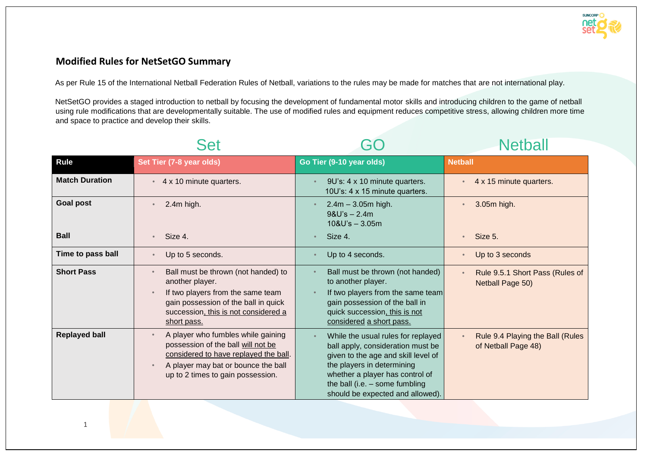

## **Modified Rules for NetSetGO Summary**

As per Rule 15 of the International Netball Federation Rules of Netball, variations to the rules may be made for matches that are not international play.

NetSetGO provides a staged introduction to netball by focusing the development of fundamental motor skills and introducing children to the game of netball using rule modifications that are developmentally suitable. The use of modified rules and equipment reduces competitive stress, allowing children more time and space to practice and develop their skills.

|                       | Set                                                                                                                                                                                                        |                                                                                                                                                                                                                                                         | <b>Netball</b>                                          |
|-----------------------|------------------------------------------------------------------------------------------------------------------------------------------------------------------------------------------------------------|---------------------------------------------------------------------------------------------------------------------------------------------------------------------------------------------------------------------------------------------------------|---------------------------------------------------------|
| <b>Rule</b>           | Set Tier (7-8 year olds)                                                                                                                                                                                   | Go Tier (9-10 year olds)                                                                                                                                                                                                                                | <b>Netball</b>                                          |
| <b>Match Duration</b> | 4 x 10 minute quarters.<br>$\bullet$                                                                                                                                                                       | 9U's: 4 x 10 minute quarters.<br>10U's: 4 x 15 minute quarters.                                                                                                                                                                                         | 4 x 15 minute quarters.<br>$\bullet$                    |
| <b>Goal post</b>      | 2.4m high.                                                                                                                                                                                                 | $2.4m - 3.05m$ high.<br>$9&U's - 2.4m$<br>$10&U's - 3.05m$                                                                                                                                                                                              | 3.05m high.                                             |
| <b>Ball</b>           | Size 4.<br>$\bullet$                                                                                                                                                                                       | Size 4.                                                                                                                                                                                                                                                 | Size 5.<br>$\bullet$                                    |
| Time to pass ball     | Up to 5 seconds.<br>$\bullet$                                                                                                                                                                              | Up to 4 seconds.                                                                                                                                                                                                                                        | Up to 3 seconds                                         |
| <b>Short Pass</b>     | Ball must be thrown (not handed) to<br>$\bullet$<br>another player.<br>If two players from the same team<br>gain possession of the ball in quick<br>succession, this is not considered a<br>short pass.    | Ball must be thrown (not handed)<br>to another player.<br>If two players from the same team<br>gain possession of the ball in<br>quick succession, this is not<br>considered a short pass.                                                              | Rule 9.5.1 Short Pass (Rules of<br>Netball Page 50)     |
| <b>Replayed ball</b>  | A player who fumbles while gaining<br>$\bullet$<br>possession of the ball will not be<br>considered to have replayed the ball.<br>A player may bat or bounce the ball<br>up to 2 times to gain possession. | While the usual rules for replayed<br>ball apply, consideration must be<br>given to the age and skill level of<br>the players in determining<br>whether a player has control of<br>the ball (i.e. $-$ some fumbling<br>should be expected and allowed). | Rule 9.4 Playing the Ball (Rules<br>of Netball Page 48) |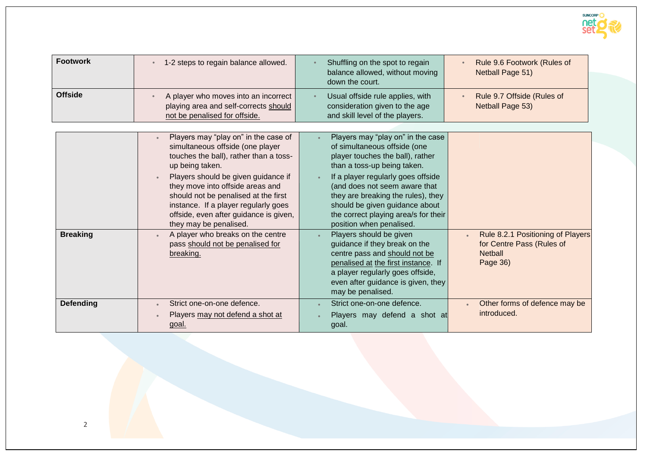

| <b>Footwork</b>  | 1-2 steps to regain balance allowed.                                                                                                                                                                                                                                                                                                                                              | Shuffling on the spot to regain<br>balance allowed, without moving<br>down the court.                                                                                                                                                                                                                                                                   | Rule 9.6 Footwork (Rules of<br>Netball Page 51)                                              |
|------------------|-----------------------------------------------------------------------------------------------------------------------------------------------------------------------------------------------------------------------------------------------------------------------------------------------------------------------------------------------------------------------------------|---------------------------------------------------------------------------------------------------------------------------------------------------------------------------------------------------------------------------------------------------------------------------------------------------------------------------------------------------------|----------------------------------------------------------------------------------------------|
| <b>Offside</b>   | A player who moves into an incorrect<br>playing area and self-corrects should<br>not be penalised for offside.                                                                                                                                                                                                                                                                    | Usual offside rule applies, with<br>consideration given to the age<br>and skill level of the players.                                                                                                                                                                                                                                                   | Rule 9.7 Offside (Rules of<br>Netball Page 53)                                               |
|                  |                                                                                                                                                                                                                                                                                                                                                                                   |                                                                                                                                                                                                                                                                                                                                                         |                                                                                              |
|                  | Players may "play on" in the case of<br>simultaneous offside (one player<br>touches the ball), rather than a toss-<br>up being taken.<br>Players should be given guidance if<br>$\bullet$<br>they move into offside areas and<br>should not be penalised at the first<br>instance. If a player regularly goes<br>offside, even after guidance is given,<br>they may be penalised. | Players may "play on" in the case<br>of simultaneous offside (one<br>player touches the ball), rather<br>than a toss-up being taken.<br>If a player regularly goes offside<br>(and does not seem aware that<br>they are breaking the rules), they<br>should be given guidance about<br>the correct playing area/s for their<br>position when penalised. |                                                                                              |
| <b>Breaking</b>  | A player who breaks on the centre<br>pass should not be penalised for<br>breaking.                                                                                                                                                                                                                                                                                                | Players should be given<br>guidance if they break on the<br>centre pass and should not be<br>penalised at the first instance. If<br>a player regularly goes offside,<br>even after guidance is given, they<br>may be penalised.                                                                                                                         | Rule 8.2.1 Positioning of Players<br>for Centre Pass (Rules of<br><b>Netball</b><br>Page 36) |
| <b>Defending</b> | Strict one-on-one defence.<br>Players may not defend a shot at<br>goal.                                                                                                                                                                                                                                                                                                           | Strict one-on-one defence.<br>Players may defend a shot at<br>goal.                                                                                                                                                                                                                                                                                     | Other forms of defence may be<br>introduced.                                                 |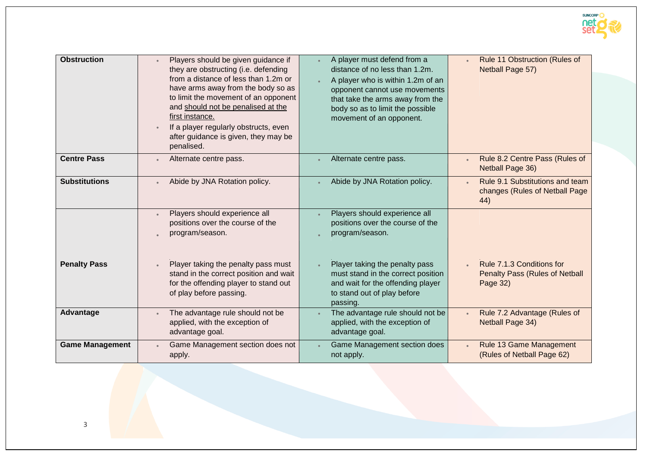

| <b>Obstruction</b>     | Players should be given guidance if<br>they are obstructing (i.e. defending<br>from a distance of less than 1.2m or<br>have arms away from the body so as<br>to limit the movement of an opponent<br>and should not be penalised at the<br>first instance.<br>If a player regularly obstructs, even<br>after guidance is given, they may be<br>penalised. | A player must defend from a<br>distance of no less than 1.2m.<br>A player who is within 1.2m of an<br>opponent cannot use movements<br>that take the arms away from the<br>body so as to limit the possible<br>movement of an opponent. | Rule 11 Obstruction (Rules of<br>Netball Page 57)                              |
|------------------------|-----------------------------------------------------------------------------------------------------------------------------------------------------------------------------------------------------------------------------------------------------------------------------------------------------------------------------------------------------------|-----------------------------------------------------------------------------------------------------------------------------------------------------------------------------------------------------------------------------------------|--------------------------------------------------------------------------------|
| <b>Centre Pass</b>     | Alternate centre pass.                                                                                                                                                                                                                                                                                                                                    | Alternate centre pass.                                                                                                                                                                                                                  | Rule 8.2 Centre Pass (Rules of<br>$\bullet$<br>Netball Page 36)                |
| <b>Substitutions</b>   | Abide by JNA Rotation policy.                                                                                                                                                                                                                                                                                                                             | Abide by JNA Rotation policy.                                                                                                                                                                                                           | Rule 9.1 Substitutions and team<br>changes (Rules of Netball Page<br>44)       |
|                        | Players should experience all<br>positions over the course of the<br>program/season.                                                                                                                                                                                                                                                                      | Players should experience all<br>positions over the course of the<br>program/season.                                                                                                                                                    |                                                                                |
| <b>Penalty Pass</b>    | Player taking the penalty pass must<br>$\bullet$<br>stand in the correct position and wait<br>for the offending player to stand out<br>of play before passing.                                                                                                                                                                                            | Player taking the penalty pass<br>must stand in the correct position<br>and wait for the offending player<br>to stand out of play before<br>passing.                                                                                    | Rule 7.1.3 Conditions for<br><b>Penalty Pass (Rules of Netball</b><br>Page 32) |
| Advantage              | The advantage rule should not be<br>applied, with the exception of<br>advantage goal.                                                                                                                                                                                                                                                                     | The advantage rule should not be<br>applied, with the exception of<br>advantage goal.                                                                                                                                                   | Rule 7.2 Advantage (Rules of<br>Netball Page 34)                               |
| <b>Game Management</b> | Game Management section does not<br>apply.                                                                                                                                                                                                                                                                                                                | Game Management section does<br>not apply.                                                                                                                                                                                              | Rule 13 Game Management<br>(Rules of Netball Page 62)                          |